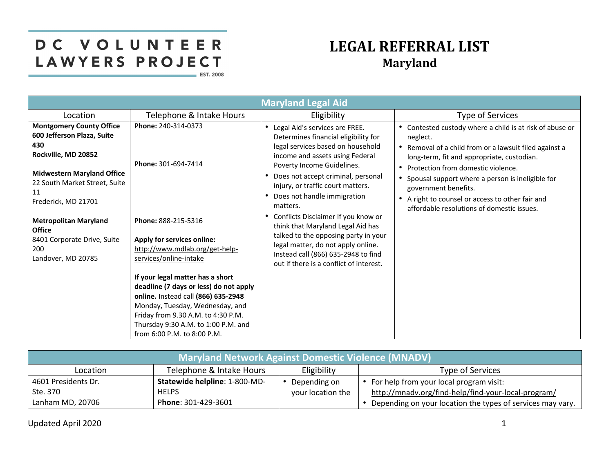## DC VOLUNTEER LAWYERS PROJECT **EST. 2008**

## **LEGAL REFERRAL LIST Maryland**

|                                                                                                                                                                                                |                                                                                                                                                                                                                                                                  | <b>Maryland Legal Aid</b>                                                                                                                                                                                                                                                                              |                                                                                                                                                                                                                                                                                                                                                                                                         |
|------------------------------------------------------------------------------------------------------------------------------------------------------------------------------------------------|------------------------------------------------------------------------------------------------------------------------------------------------------------------------------------------------------------------------------------------------------------------|--------------------------------------------------------------------------------------------------------------------------------------------------------------------------------------------------------------------------------------------------------------------------------------------------------|---------------------------------------------------------------------------------------------------------------------------------------------------------------------------------------------------------------------------------------------------------------------------------------------------------------------------------------------------------------------------------------------------------|
| Location                                                                                                                                                                                       | Telephone & Intake Hours                                                                                                                                                                                                                                         | Eligibility                                                                                                                                                                                                                                                                                            | Type of Services                                                                                                                                                                                                                                                                                                                                                                                        |
| <b>Montgomery County Office</b><br>600 Jefferson Plaza, Suite<br>430<br>Rockville, MD 20852<br><b>Midwestern Maryland Office</b><br>22 South Market Street, Suite<br>11<br>Frederick, MD 21701 | Phone: 240-314-0373<br>Phone: 301-694-7414                                                                                                                                                                                                                       | • Legal Aid's services are FREE.<br>Determines financial eligibility for<br>legal services based on household<br>income and assets using Federal<br>Poverty Income Guidelines.<br>Does not accept criminal, personal<br>injury, or traffic court matters.<br>• Does not handle immigration<br>matters. | Contested custody where a child is at risk of abuse or<br>neglect.<br>Removal of a child from or a lawsuit filed against a<br>long-term, fit and appropriate, custodian.<br>Protection from domestic violence.<br>$\bullet$<br>Spousal support where a person is ineligible for<br>government benefits.<br>A right to counsel or access to other fair and<br>affordable resolutions of domestic issues. |
| <b>Metropolitan Maryland</b><br><b>Office</b><br>8401 Corporate Drive, Suite<br>200<br>Landover, MD 20785                                                                                      | Phone: 888-215-5316<br>Apply for services online:<br>http://www.mdlab.org/get-help-<br>services/online-intake                                                                                                                                                    | • Conflicts Disclaimer If you know or<br>think that Maryland Legal Aid has<br>talked to the opposing party in your<br>legal matter, do not apply online.<br>Instead call (866) 635-2948 to find<br>out if there is a conflict of interest.                                                             |                                                                                                                                                                                                                                                                                                                                                                                                         |
|                                                                                                                                                                                                | If your legal matter has a short<br>deadline (7 days or less) do not apply<br>online. Instead call (866) 635-2948<br>Monday, Tuesday, Wednesday, and<br>Friday from 9.30 A.M. to 4:30 P.M.<br>Thursday 9:30 A.M. to 1:00 P.M. and<br>from 6:00 P.M. to 8:00 P.M. |                                                                                                                                                                                                                                                                                                        |                                                                                                                                                                                                                                                                                                                                                                                                         |

| <b>Maryland Network Against Domestic Violence (MNADV)</b> |                               |                   |                                                            |  |
|-----------------------------------------------------------|-------------------------------|-------------------|------------------------------------------------------------|--|
| Location                                                  | Telephone & Intake Hours      | Eligibility       | Type of Services                                           |  |
| 4601 Presidents Dr.                                       | Statewide helpline: 1-800-MD- | Depending on      | • For help from your local program visit:                  |  |
| Ste. 370                                                  | <b>HELPS</b>                  | your location the | http://mnadv.org/find-help/find-your-local-program/        |  |
| Lanham MD, 20706                                          | Phone: 301-429-3601           |                   | Depending on your location the types of services may vary. |  |

Updated April 2020 11 and 2020 12 and 2021 12:00 12:00 12:00 12:00 12:00 12:00 12:00 12:00 12:00 12:00 12:00 1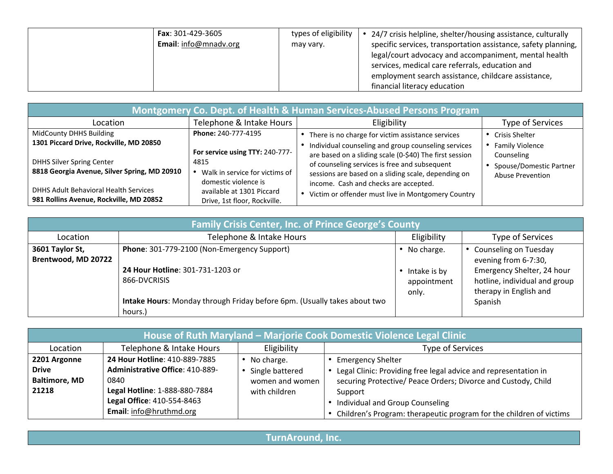| <b>Fax</b> : 301-429-3605 | types of eligibility | 24/7 crisis helpline, shelter/housing assistance, culturally   |
|---------------------------|----------------------|----------------------------------------------------------------|
| Email: info@mnadv.org     | may vary.            | specific services, transportation assistance, safety planning, |
|                           |                      |                                                                |

| Montgomery Co. Dept. of Health & Human Services-Abused Persons Program                                                      |                                                                                                   |                                                                                                                                                                                                                                                                 |                                                                                     |  |  |
|-----------------------------------------------------------------------------------------------------------------------------|---------------------------------------------------------------------------------------------------|-----------------------------------------------------------------------------------------------------------------------------------------------------------------------------------------------------------------------------------------------------------------|-------------------------------------------------------------------------------------|--|--|
| Location                                                                                                                    | Telephone & Intake Hours                                                                          | Eligibility                                                                                                                                                                                                                                                     | Type of Services                                                                    |  |  |
| MidCounty DHHS Building                                                                                                     | Phone: 240-777-4195                                                                               | There is no charge for victim assistance services                                                                                                                                                                                                               | <b>Crisis Shelter</b>                                                               |  |  |
| 1301 Piccard Drive, Rockville, MD 20850<br><b>DHHS Silver Spring Center</b><br>8818 Georgia Avenue, Silver Spring, MD 20910 | For service using TTY: 240-777-<br>4815<br>Walk in service for victims of<br>domestic violence is | Individual counseling and group counseling services<br>are based on a sliding scale (0-\$40) The first session<br>of counseling services is free and subsequent<br>sessions are based on a sliding scale, depending on<br>income. Cash and checks are accepted. | <b>Family Violence</b><br>Counseling<br>Spouse/Domestic Partner<br>Abuse Prevention |  |  |
| <b>DHHS Adult Behavioral Health Services</b><br>981 Rollins Avenue, Rockville, MD 20852                                     | available at 1301 Piccard<br>Drive, 1st floor, Rockville.                                         | Victim or offender must live in Montgomery Country                                                                                                                                                                                                              |                                                                                     |  |  |

| <b>Family Crisis Center, Inc. of Prince George's County</b> |                                                                                                                                                                                        |                                                      |                                                                                                                                                     |  |
|-------------------------------------------------------------|----------------------------------------------------------------------------------------------------------------------------------------------------------------------------------------|------------------------------------------------------|-----------------------------------------------------------------------------------------------------------------------------------------------------|--|
| Location                                                    | Telephone & Intake Hours                                                                                                                                                               | Eligibility                                          | Type of Services                                                                                                                                    |  |
| 3601 Taylor St,<br>Brentwood, MD 20722                      | Phone: 301-779-2100 (Non-Emergency Support)<br>24 Hour Hotline: 301-731-1203 or<br>866-DVCRISIS<br>Intake Hours: Monday through Friday before 6pm. (Usually takes about two<br>hours.) | • No charge.<br>Intake is by<br>appointment<br>only. | • Counseling on Tuesday<br>evening from 6-7:30,<br>Emergency Shelter, 24 hour<br>hotline, individual and group<br>therapy in English and<br>Spanish |  |

| <b>House of Ruth Maryland - Marjorie Cook Domestic Violence Legal Clinic</b> |                                                                                                                  |                                                                   |                                                                                                                                                                         |  |  |
|------------------------------------------------------------------------------|------------------------------------------------------------------------------------------------------------------|-------------------------------------------------------------------|-------------------------------------------------------------------------------------------------------------------------------------------------------------------------|--|--|
| Location                                                                     | Telephone & Intake Hours                                                                                         | Eligibility                                                       | Type of Services                                                                                                                                                        |  |  |
| 2201 Argonne<br><b>Drive</b><br><b>Baltimore, MD</b><br>21218                | 24 Hour Hotline: 410-889-7885<br><b>Administrative Office: 410-889-</b><br>0840<br>Legal Hotline: 1-888-880-7884 | No charge.<br>Single battered<br>women and women<br>with children | <b>Emergency Shelter</b><br>Legal Clinic: Providing free legal advice and representation in<br>securing Protective/ Peace Orders; Divorce and Custody, Child<br>Support |  |  |
|                                                                              | Legal Office: 410-554-8463<br>Email: info@hruthmd.org                                                            |                                                                   | Individual and Group Counseling<br>Children's Program: therapeutic program for the children of victims                                                                  |  |  |

**TurnAround, Inc.**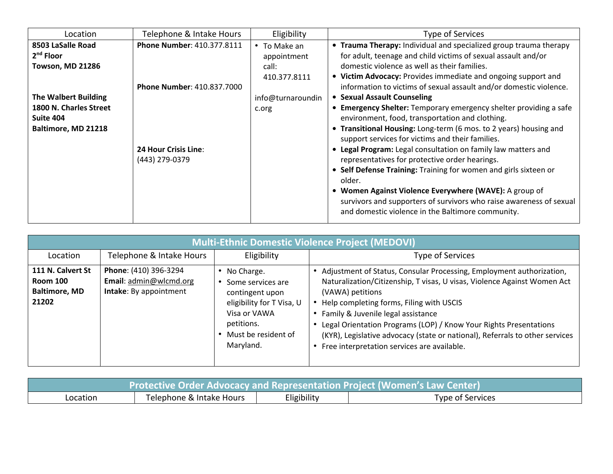| Location                    | Telephone & Intake Hours          | Eligibility        | Type of Services                                                                                                              |
|-----------------------------|-----------------------------------|--------------------|-------------------------------------------------------------------------------------------------------------------------------|
| 8503 LaSalle Road           | Phone Number: 410.377.8111        | $\cdot$ To Make an | • Trauma Therapy: Individual and specialized group trauma therapy                                                             |
| $2nd$ Floor                 |                                   | appointment        | for adult, teenage and child victims of sexual assault and/or                                                                 |
| <b>Towson, MD 21286</b>     |                                   | call:              | domestic violence as well as their families.                                                                                  |
|                             |                                   | 410.377.8111       | • Victim Advocacy: Provides immediate and ongoing support and                                                                 |
|                             | <b>Phone Number: 410.837.7000</b> |                    | information to victims of sexual assault and/or domestic violence.                                                            |
| <b>The Walbert Building</b> |                                   | info@turnaroundin  | • Sexual Assault Counseling                                                                                                   |
| 1800 N. Charles Street      |                                   | c.org              | • Emergency Shelter: Temporary emergency shelter providing a safe                                                             |
| Suite 404                   |                                   |                    | environment, food, transportation and clothing.                                                                               |
| Baltimore, MD 21218         |                                   |                    | • Transitional Housing: Long-term (6 mos. to 2 years) housing and                                                             |
|                             |                                   |                    | support services for victims and their families.                                                                              |
|                             | <b>24 Hour Crisis Line:</b>       |                    | • Legal Program: Legal consultation on family law matters and                                                                 |
|                             | (443) 279-0379                    |                    | representatives for protective order hearings.                                                                                |
|                             |                                   |                    | • Self Defense Training: Training for women and girls sixteen or<br>older.                                                    |
|                             |                                   |                    | • Women Against Violence Everywhere (WAVE): A group of<br>survivors and supporters of survivors who raise awareness of sexual |
|                             |                                   |                    | and domestic violence in the Baltimore community.                                                                             |

| <b>Multi-Ethnic Domestic Violence Project (MEDOVI)</b>                |                                                                           |                                                                                                                                                   |                                                                                                                                                                                                                                                                                                                                                                                                                                                            |  |
|-----------------------------------------------------------------------|---------------------------------------------------------------------------|---------------------------------------------------------------------------------------------------------------------------------------------------|------------------------------------------------------------------------------------------------------------------------------------------------------------------------------------------------------------------------------------------------------------------------------------------------------------------------------------------------------------------------------------------------------------------------------------------------------------|--|
| Location                                                              | Telephone & Intake Hours                                                  | Eligibility                                                                                                                                       | Type of Services                                                                                                                                                                                                                                                                                                                                                                                                                                           |  |
| 111 N. Calvert St<br><b>Room 100</b><br><b>Baltimore, MD</b><br>21202 | Phone: (410) 396-3294<br>Email: admin@wlcmd.org<br>Intake: By appointment | No Charge.<br>Some services are<br>contingent upon<br>eligibility for T Visa, U<br>Visa or VAWA<br>petitions.<br>Must be resident of<br>Maryland. | Adjustment of Status, Consular Processing, Employment authorization,<br>Naturalization/Citizenship, T visas, U visas, Violence Against Women Act<br>(VAWA) petitions<br>Help completing forms, Filing with USCIS<br>Family & Juvenile legal assistance<br>Legal Orientation Programs (LOP) / Know Your Rights Presentations<br>(KYR), Legislative advocacy (state or national), Referrals to other services<br>Free interpretation services are available. |  |

| Protective Order Advocacy and Representation Project (Women's Law Center) |  |  |  |  |  |
|---------------------------------------------------------------------------|--|--|--|--|--|
| Eligibility<br>Telephone & Intake Hours<br>Type of Services<br>Location   |  |  |  |  |  |